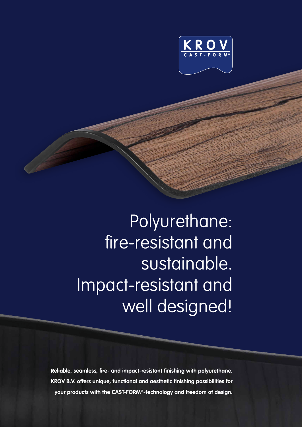

Polyurethane: fire-resistant and sustainable. Impact-resistant and well designed!

**Reliable, seamless, fire- and impact-resistant finishing with polyurethane. KROV B.V. offers unique, functional and aesthetic finishing possibilities for your products with the CAST-FORM®-technology and freedom of design.**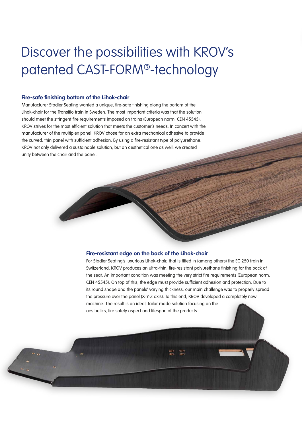# Discover the possibilities with KROV's patented CAST-FORM®-technology

#### **Fire-safe finishing bottom of the Lihok-chair**

Manufacturer Stadler Seating wanted a unique, fire-safe finishing along the bottom of the Lihok-chair for the Transitio train in Sweden. The most important criteria was that the solution should meet the stringent fire requirements imposed on trains (European norm: CEN 45545). KROV strives for the most efficient solution that meets the customer's needs. In concert with the manufacturer of the multiplex panel, KROV chose for an extra mechanical adhesive to provide the curved, thin panel with sufficient adhesion. By using a fire-resistant type of polyurethane, KROV not only delivered a sustainable solution, but an aesthetical one as well: we created unity between the chair and the panel.

#### **Fire-resistant edge on the back of the Lihok-chair**

For Stadler Seating's luxurious Lihok-chair, that is fitted in (among others) the EC 250 train in Switzerland, KROV produces an ultra-thin, fire-resistant polyurethane finishing for the back of the seat. An important condition was meeting the very strict fire requirements (European norm: CEN 45545). On top of this, the edge must provide sufficient adhesion and protection. Due to its round shape and the panels' varying thickness, our main challenge was to properly spread the pressure over the panel (X-Y-Z axis). To this end, KROV developed a completely new machine. The result is an ideal, tailor-made solution focusing on the aesthetics, fire safety aspect and lifespan of the products.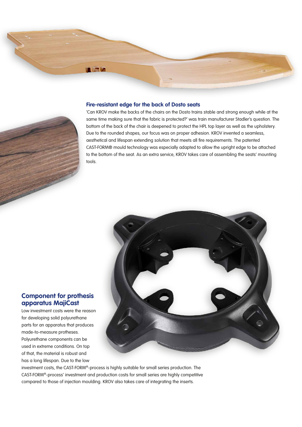# **In the Ca**

#### **Fire-resistant edge for the back of Dosto seats**



'Can KROV make the backs of the chairs on the Dosto trains stable and strong enough while at the same time making sure that the fabric is protected?' was train manufacturer Stadler's question. The bottom of the back of the chair is deepened to protect the HPL top layer as well as the upholstery. Due to the rounded shapes, our focus was on proper adhesion. KROV invented a seamless, aesthetical and lifespan extending solution that meets all fire requirements. The patented CAST-FORM® mould technology was especially adapted to allow the upright edge to be attached to the bottom of the seat. As an extra service, KROV takes care of assembling the seats' mounting tools.



### **Component for prothesis apparatus MajiCast**

Low investment costs were the reason for developing solid polyurethane parts for an apparatus that produces made-to-measure protheses. Polyurethane components can be used in extreme conditions. On top of that, the material is robust and has a long lifespan. Due to the low

investment costs, the CAST-FORM®-process is highly suitable for small series production. The CAST-FORM®-process' investment and production costs for small series are highly competitive compared to those of injection moulding. KROV also takes care of integrating the inserts.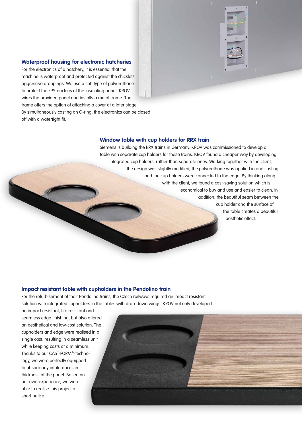#### **Waterproof housing for electronic hatcheries**

For the electronics of a hatchery, it is essential that the machine is waterproof and protected against the chicklets' aggressive droppings. We use a soft type of polyurethane to protect the EPS-nucleus of the insulating panel. KROV wires the provided panel and installs a metal frame. The frame offers the option of attaching a cover at a later stage. By simultaneously casting an O-ring, the electronics can be closed off with a watertight fit.

#### **Window table with cup holders for RRX train**

Siemens is building the RRX trains in Germany. KROV was commissioned to develop a table with separate cup holders for these trains. KROV found a cheaper way by developing integrated cup holders, rather than separate ones. Working together with the client, the design was slightly modified, the polyurethane was applied in one casting and the cup holders were connected to the edge. By thinking along with the client, we found a cost-saving solution which is economical to buy and use and easier to clean. In addition, the beautiful seam between the cup holder and the surface of the table creates a beautiful aesthetic effect.

#### **Impact resistant table with cupholders in the Pendolino train**

For the refurbishment of their Pendolino trains, the Czech railways required an impact resistant solution with integrated cupholders in the tables with drop-down wings. KROV not only developed

an impact resistant, fire resistant and seamless edge finishing, but also offered an aesthetical and low-cost solution. The cupholders and edge were realised in a single cast, resulting in a seamless unit while keeping costs at a minimum. Thanks to our CAST-FORM®-technology, we were perfectly equipped to absorb any intolerances in thickness of the panel. Based on our own experience, we were able to realise this project at short notice.

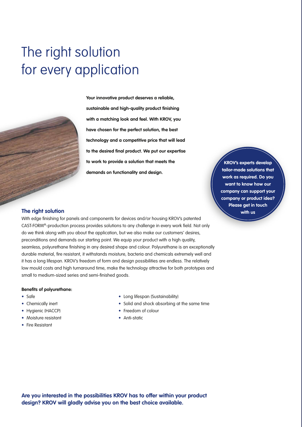# The right solution for every application



**Your innovative product deserves a reliable, sustainable and high-quality product finishing with a matching look and feel. With KROV, you have chosen for the perfect solution, the best technology and a competitive price that will lead to the desired final product. We put our expertise to work to provide a solution that meets the demands on functionality and design.**

**KROV's experts develop tailor-made solutions that work as required. Do you want to know how our company can support your company or product idea? Please get in touch with us**

#### **The right solution**

With edge finishing for panels and components for devices and/or housing KROV's patented CAST-FORM®-production process provides solutions to any challenge in every work field. Not only do we think along with you about the application, but we also make our customers' desires, preconditions and demands our starting point. We equip your product with a high quality, seamless, polyurethane finishing in any desired shape and colour. Polyurethane is an exceptionally durable material, fire resistant, it withstands moisture, bacteria and chemicals extremely well and it has a long lifespan. KROV's freedom of form and design possibilities are endless. The relatively low mould costs and high turnaround time, make the technology attractive for both prototypes and small to medium-sized series and semi-finished goods.

#### **Benefits of polyurethane:**

- Safe
- Chemically inert
- Hygienic (HACCP)
- Moisture resistant
- Fire Resistant
- Long lifespan (Sustainability)
- Solid and shock absorbing at the same time
- Freedom of colour
- Anti-static

**Are you interested in the possibilities KROV has to offer within your product design? KROV will gladly advise you on the best choice available.**